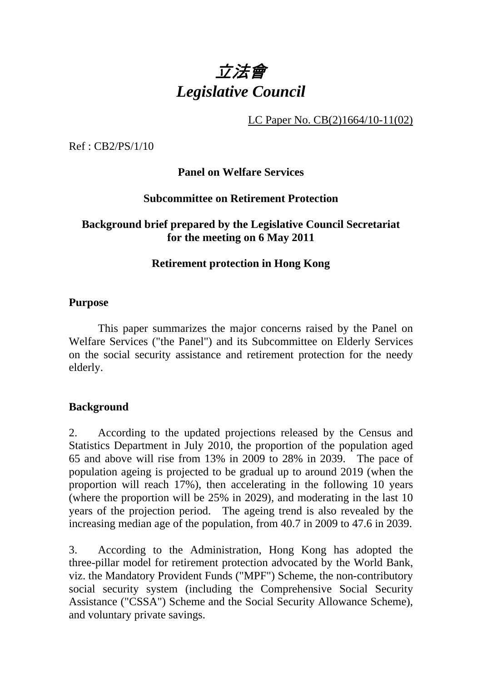

LC Paper No. CB(2)1664/10-11(02)

Ref : CB2/PS/1/10

**Panel on Welfare Services** 

## **Subcommittee on Retirement Protection**

## **Background brief prepared by the Legislative Council Secretariat for the meeting on 6 May 2011**

## **Retirement protection in Hong Kong**

### **Purpose**

. This paper summarizes the major concerns raised by the Panel on Welfare Services ("the Panel") and its Subcommittee on Elderly Services on the social security assistance and retirement protection for the needy elderly.

### **Background**

2. According to the updated projections released by the Census and Statistics Department in July 2010, the proportion of the population aged 65 and above will rise from 13% in 2009 to 28% in 2039. The pace of population ageing is projected to be gradual up to around 2019 (when the proportion will reach 17%), then accelerating in the following 10 years (where the proportion will be 25% in 2029), and moderating in the last 10 years of the projection period. The ageing trend is also revealed by the increasing median age of the population, from 40.7 in 2009 to 47.6 in 2039.

3. According to the Administration, Hong Kong has adopted the three-pillar model for retirement protection advocated by the World Bank, viz. the Mandatory Provident Funds ("MPF") Scheme, the non-contributory social security system (including the Comprehensive Social Security Assistance ("CSSA") Scheme and the Social Security Allowance Scheme), and voluntary private savings.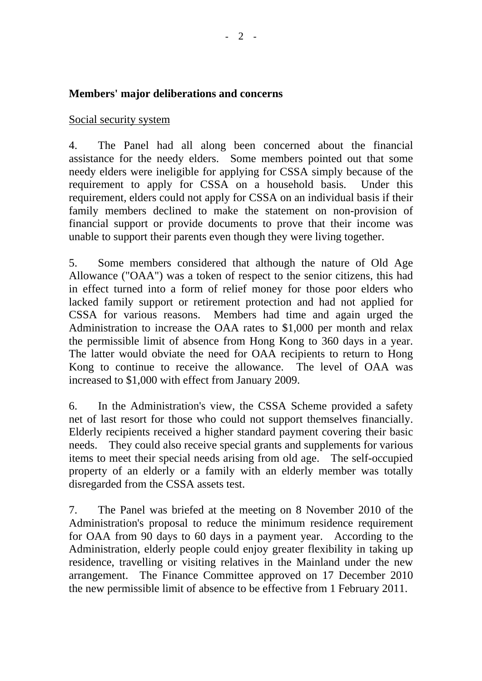# **Members' major deliberations and concerns**

## Social security system

4. The Panel had all along been concerned about the financial assistance for the needy elders. Some members pointed out that some needy elders were ineligible for applying for CSSA simply because of the requirement to apply for CSSA on a household basis. Under this requirement, elders could not apply for CSSA on an individual basis if their family members declined to make the statement on non-provision of financial support or provide documents to prove that their income was unable to support their parents even though they were living together.

5. Some members considered that although the nature of Old Age Allowance ("OAA") was a token of respect to the senior citizens, this had in effect turned into a form of relief money for those poor elders who lacked family support or retirement protection and had not applied for CSSA for various reasons. Members had time and again urged the Administration to increase the OAA rates to \$1,000 per month and relax the permissible limit of absence from Hong Kong to 360 days in a year. The latter would obviate the need for OAA recipients to return to Hong Kong to continue to receive the allowance. The level of OAA was increased to \$1,000 with effect from January 2009.

6. In the Administration's view, the CSSA Scheme provided a safety net of last resort for those who could not support themselves financially. Elderly recipients received a higher standard payment covering their basic needs. They could also receive special grants and supplements for various items to meet their special needs arising from old age. The self-occupied property of an elderly or a family with an elderly member was totally disregarded from the CSSA assets test.

7. The Panel was briefed at the meeting on 8 November 2010 of the Administration's proposal to reduce the minimum residence requirement for OAA from 90 days to 60 days in a payment year. According to the Administration, elderly people could enjoy greater flexibility in taking up residence, travelling or visiting relatives in the Mainland under the new arrangement. The Finance Committee approved on 17 December 2010 the new permissible limit of absence to be effective from 1 February 2011.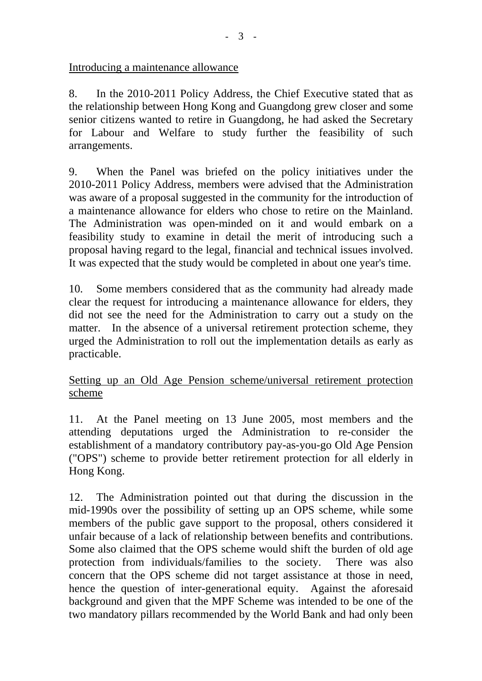Introducing a maintenance allowance

8. In the 2010-2011 Policy Address, the Chief Executive stated that as the relationship between Hong Kong and Guangdong grew closer and some senior citizens wanted to retire in Guangdong, he had asked the Secretary for Labour and Welfare to study further the feasibility of such arrangements.

9. When the Panel was briefed on the policy initiatives under the 2010-2011 Policy Address, members were advised that the Administration was aware of a proposal suggested in the community for the introduction of a maintenance allowance for elders who chose to retire on the Mainland. The Administration was open-minded on it and would embark on a feasibility study to examine in detail the merit of introducing such a proposal having regard to the legal, financial and technical issues involved. It was expected that the study would be completed in about one year's time.

10. Some members considered that as the community had already made clear the request for introducing a maintenance allowance for elders, they did not see the need for the Administration to carry out a study on the matter. In the absence of a universal retirement protection scheme, they urged the Administration to roll out the implementation details as early as practicable.

## Setting up an Old Age Pension scheme/universal retirement protection scheme

11. At the Panel meeting on 13 June 2005, most members and the attending deputations urged the Administration to re-consider the establishment of a mandatory contributory pay-as-you-go Old Age Pension ("OPS") scheme to provide better retirement protection for all elderly in Hong Kong.

12. The Administration pointed out that during the discussion in the mid-1990s over the possibility of setting up an OPS scheme, while some members of the public gave support to the proposal, others considered it unfair because of a lack of relationship between benefits and contributions. Some also claimed that the OPS scheme would shift the burden of old age protection from individuals/families to the society. There was also concern that the OPS scheme did not target assistance at those in need, hence the question of inter-generational equity. Against the aforesaid background and given that the MPF Scheme was intended to be one of the two mandatory pillars recommended by the World Bank and had only been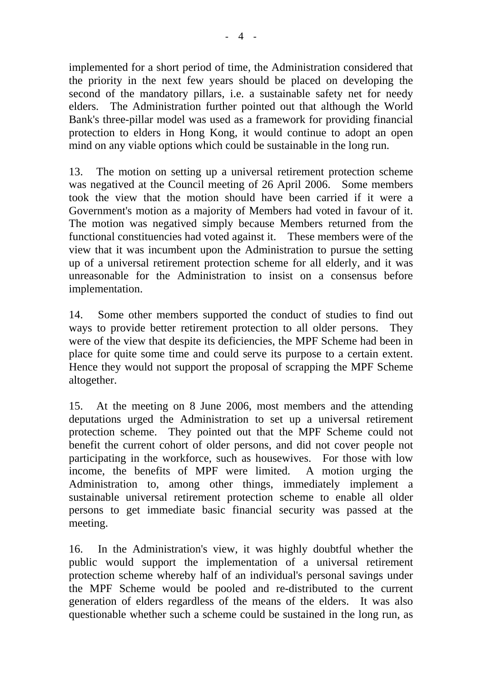implemented for a short period of time, the Administration considered that the priority in the next few years should be placed on developing the second of the mandatory pillars, i.e. a sustainable safety net for needy elders. The Administration further pointed out that although the World Bank's three-pillar model was used as a framework for providing financial protection to elders in Hong Kong, it would continue to adopt an open mind on any viable options which could be sustainable in the long run.

13. The motion on setting up a universal retirement protection scheme was negatived at the Council meeting of 26 April 2006. Some members took the view that the motion should have been carried if it were a Government's motion as a majority of Members had voted in favour of it. The motion was negatived simply because Members returned from the functional constituencies had voted against it. These members were of the view that it was incumbent upon the Administration to pursue the setting up of a universal retirement protection scheme for all elderly, and it was unreasonable for the Administration to insist on a consensus before implementation.

14. Some other members supported the conduct of studies to find out ways to provide better retirement protection to all older persons. They were of the view that despite its deficiencies, the MPF Scheme had been in place for quite some time and could serve its purpose to a certain extent. Hence they would not support the proposal of scrapping the MPF Scheme altogether.

15. At the meeting on 8 June 2006, most members and the attending deputations urged the Administration to set up a universal retirement protection scheme. They pointed out that the MPF Scheme could not benefit the current cohort of older persons, and did not cover people not participating in the workforce, such as housewives. For those with low income, the benefits of MPF were limited. A motion urging the Administration to, among other things, immediately implement a sustainable universal retirement protection scheme to enable all older persons to get immediate basic financial security was passed at the meeting.

16. In the Administration's view, it was highly doubtful whether the public would support the implementation of a universal retirement protection scheme whereby half of an individual's personal savings under the MPF Scheme would be pooled and re-distributed to the current generation of elders regardless of the means of the elders. It was also questionable whether such a scheme could be sustained in the long run, as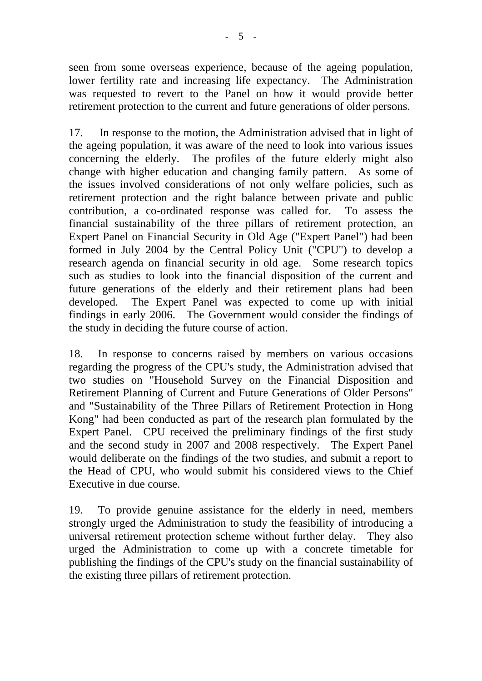seen from some overseas experience, because of the ageing population, lower fertility rate and increasing life expectancy. The Administration was requested to revert to the Panel on how it would provide better retirement protection to the current and future generations of older persons.

17. In response to the motion, the Administration advised that in light of the ageing population, it was aware of the need to look into various issues concerning the elderly. The profiles of the future elderly might also change with higher education and changing family pattern. As some of the issues involved considerations of not only welfare policies, such as retirement protection and the right balance between private and public contribution, a co-ordinated response was called for. To assess the financial sustainability of the three pillars of retirement protection, an Expert Panel on Financial Security in Old Age ("Expert Panel") had been formed in July 2004 by the Central Policy Unit ("CPU") to develop a research agenda on financial security in old age. Some research topics such as studies to look into the financial disposition of the current and future generations of the elderly and their retirement plans had been developed. The Expert Panel was expected to come up with initial findings in early 2006. The Government would consider the findings of the study in deciding the future course of action.

18. In response to concerns raised by members on various occasions regarding the progress of the CPU's study, the Administration advised that two studies on "Household Survey on the Financial Disposition and Retirement Planning of Current and Future Generations of Older Persons" and "Sustainability of the Three Pillars of Retirement Protection in Hong Kong" had been conducted as part of the research plan formulated by the Expert Panel. CPU received the preliminary findings of the first study and the second study in 2007 and 2008 respectively. The Expert Panel would deliberate on the findings of the two studies, and submit a report to the Head of CPU, who would submit his considered views to the Chief Executive in due course.

19. To provide genuine assistance for the elderly in need, members strongly urged the Administration to study the feasibility of introducing a universal retirement protection scheme without further delay. They also urged the Administration to come up with a concrete timetable for publishing the findings of the CPU's study on the financial sustainability of the existing three pillars of retirement protection.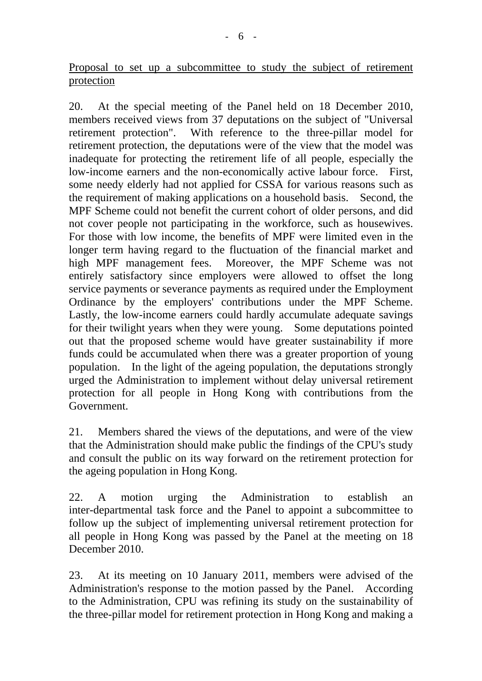Proposal to set up a subcommittee to study the subject of retirement protection

20. At the special meeting of the Panel held on 18 December 2010, members received views from 37 deputations on the subject of "Universal retirement protection". With reference to the three-pillar model for retirement protection, the deputations were of the view that the model was inadequate for protecting the retirement life of all people, especially the low-income earners and the non-economically active labour force. First, some needy elderly had not applied for CSSA for various reasons such as the requirement of making applications on a household basis. Second, the MPF Scheme could not benefit the current cohort of older persons, and did not cover people not participating in the workforce, such as housewives. For those with low income, the benefits of MPF were limited even in the longer term having regard to the fluctuation of the financial market and high MPF management fees. Moreover, the MPF Scheme was not entirely satisfactory since employers were allowed to offset the long service payments or severance payments as required under the Employment Ordinance by the employers' contributions under the MPF Scheme. Lastly, the low-income earners could hardly accumulate adequate savings for their twilight years when they were young. Some deputations pointed out that the proposed scheme would have greater sustainability if more funds could be accumulated when there was a greater proportion of young population. In the light of the ageing population, the deputations strongly urged the Administration to implement without delay universal retirement protection for all people in Hong Kong with contributions from the Government.

21. Members shared the views of the deputations, and were of the view that the Administration should make public the findings of the CPU's study and consult the public on its way forward on the retirement protection for the ageing population in Hong Kong.

22. A motion urging the Administration to establish an inter-departmental task force and the Panel to appoint a subcommittee to follow up the subject of implementing universal retirement protection for all people in Hong Kong was passed by the Panel at the meeting on 18 December 2010.

23. At its meeting on 10 January 2011, members were advised of the Administration's response to the motion passed by the Panel. According to the Administration, CPU was refining its study on the sustainability of the three-pillar model for retirement protection in Hong Kong and making a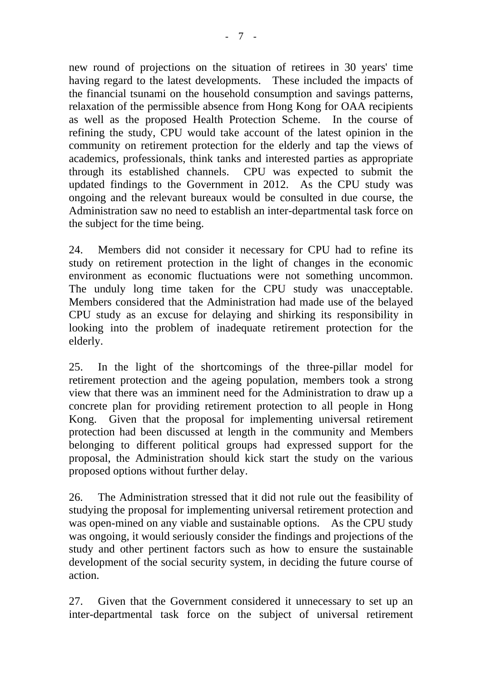new round of projections on the situation of retirees in 30 years' time having regard to the latest developments. These included the impacts of the financial tsunami on the household consumption and savings patterns, relaxation of the permissible absence from Hong Kong for OAA recipients as well as the proposed Health Protection Scheme. In the course of refining the study, CPU would take account of the latest opinion in the community on retirement protection for the elderly and tap the views of academics, professionals, think tanks and interested parties as appropriate through its established channels. CPU was expected to submit the updated findings to the Government in 2012. As the CPU study was ongoing and the relevant bureaux would be consulted in due course, the Administration saw no need to establish an inter-departmental task force on the subject for the time being.

24. Members did not consider it necessary for CPU had to refine its study on retirement protection in the light of changes in the economic environment as economic fluctuations were not something uncommon. The unduly long time taken for the CPU study was unacceptable. Members considered that the Administration had made use of the belayed CPU study as an excuse for delaying and shirking its responsibility in looking into the problem of inadequate retirement protection for the elderly.

25. In the light of the shortcomings of the three-pillar model for retirement protection and the ageing population, members took a strong view that there was an imminent need for the Administration to draw up a concrete plan for providing retirement protection to all people in Hong Kong. Given that the proposal for implementing universal retirement protection had been discussed at length in the community and Members belonging to different political groups had expressed support for the proposal, the Administration should kick start the study on the various proposed options without further delay.

26. The Administration stressed that it did not rule out the feasibility of studying the proposal for implementing universal retirement protection and was open-mined on any viable and sustainable options. As the CPU study was ongoing, it would seriously consider the findings and projections of the study and other pertinent factors such as how to ensure the sustainable development of the social security system, in deciding the future course of action.

27. Given that the Government considered it unnecessary to set up an inter-departmental task force on the subject of universal retirement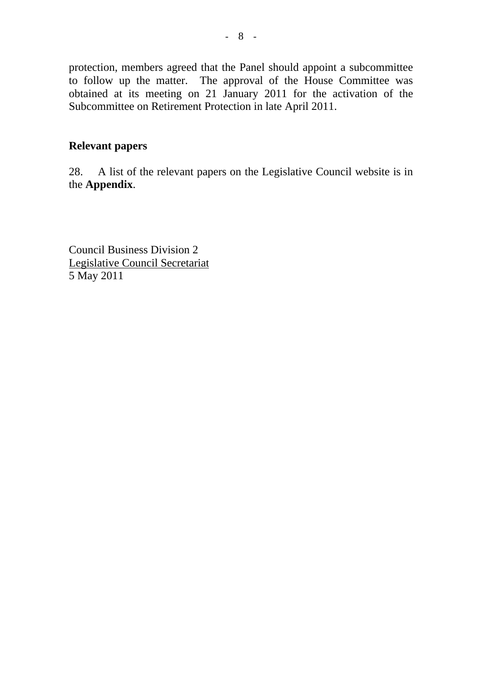protection, members agreed that the Panel should appoint a subcommittee to follow up the matter. The approval of the House Committee was obtained at its meeting on 21 January 2011 for the activation of the Subcommittee on Retirement Protection in late April 2011.

## **Relevant papers**

28. A list of the relevant papers on the Legislative Council website is in the **Appendix**.

Council Business Division 2 Legislative Council Secretariat 5 May 2011